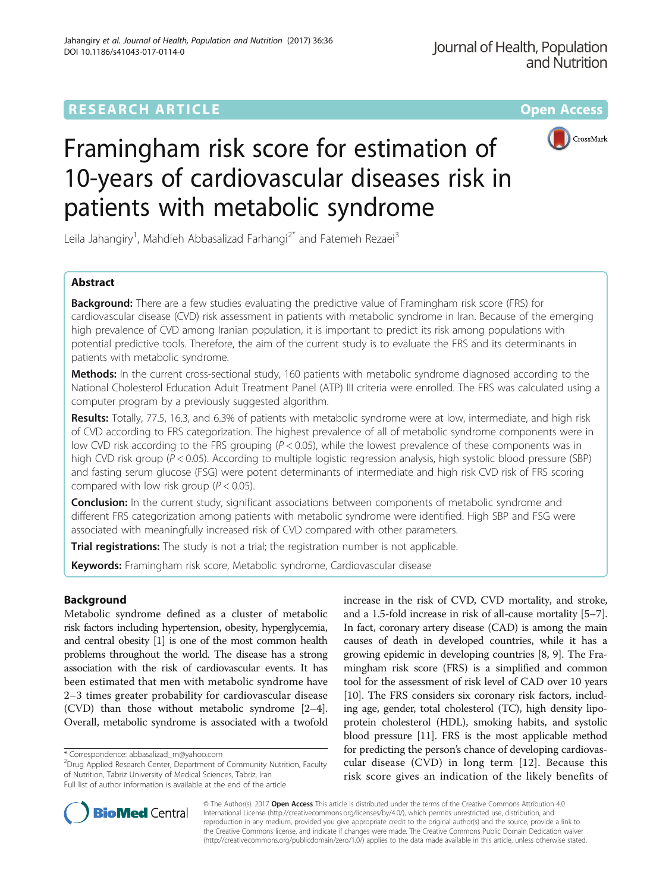# **RESEARCH ARTICLE External Structure Community Community Community Community Community Community Community Community**



# Framingham risk score for estimation of 10-years of cardiovascular diseases risk in patients with metabolic syndrome

Leila Jahangiry<sup>1</sup>, Mahdieh Abbasalizad Farhangi<sup>2\*</sup> and Fatemeh Rezaei<sup>3</sup>

# Abstract

**Background:** There are a few studies evaluating the predictive value of Framingham risk score (FRS) for cardiovascular disease (CVD) risk assessment in patients with metabolic syndrome in Iran. Because of the emerging high prevalence of CVD among Iranian population, it is important to predict its risk among populations with potential predictive tools. Therefore, the aim of the current study is to evaluate the FRS and its determinants in patients with metabolic syndrome.

Methods: In the current cross-sectional study, 160 patients with metabolic syndrome diagnosed according to the National Cholesterol Education Adult Treatment Panel (ATP) III criteria were enrolled. The FRS was calculated using a computer program by a previously suggested algorithm.

Results: Totally, 77.5, 16.3, and 6.3% of patients with metabolic syndrome were at low, intermediate, and high risk of CVD according to FRS categorization. The highest prevalence of all of metabolic syndrome components were in low CVD risk according to the FRS grouping  $(P < 0.05)$ , while the lowest prevalence of these components was in high CVD risk group (P < 0.05). According to multiple logistic regression analysis, high systolic blood pressure (SBP) and fasting serum glucose (FSG) were potent determinants of intermediate and high risk CVD risk of FRS scoring compared with low risk group ( $P < 0.05$ ).

**Conclusion:** In the current study, significant associations between components of metabolic syndrome and different FRS categorization among patients with metabolic syndrome were identified. High SBP and FSG were associated with meaningfully increased risk of CVD compared with other parameters.

Trial registrations: The study is not a trial; the registration number is not applicable.

Keywords: Framingham risk score, Metabolic syndrome, Cardiovascular disease

# Background

Metabolic syndrome defined as a cluster of metabolic risk factors including hypertension, obesity, hyperglycemia, and central obesity [[1](#page-4-0)] is one of the most common health problems throughout the world. The disease has a strong association with the risk of cardiovascular events. It has been estimated that men with metabolic syndrome have 2–3 times greater probability for cardiovascular disease (CVD) than those without metabolic syndrome [[2](#page-4-0)–[4](#page-4-0)]. Overall, metabolic syndrome is associated with a twofold

<sup>2</sup>Drug Applied Research Center, Department of Community Nutrition, Faculty of Nutrition, Tabriz University of Medical Sciences, Tabriz, Iran Full list of author information is available at the end of the article

increase in the risk of CVD, CVD mortality, and stroke, and a 1.5-fold increase in risk of all-cause mortality [[5](#page-4-0)–[7](#page-4-0)]. In fact, coronary artery disease (CAD) is among the main causes of death in developed countries, while it has a growing epidemic in developing countries [\[8, 9\]](#page-4-0). The Framingham risk score (FRS) is a simplified and common tool for the assessment of risk level of CAD over 10 years [[10](#page-4-0)]. The FRS considers six coronary risk factors, including age, gender, total cholesterol (TC), high density lipoprotein cholesterol (HDL), smoking habits, and systolic blood pressure [[11](#page-4-0)]. FRS is the most applicable method for predicting the person's chance of developing cardiovascular disease (CVD) in long term [\[12](#page-4-0)]. Because this risk score gives an indication of the likely benefits of



© The Author(s). 2017 **Open Access** This article is distributed under the terms of the Creative Commons Attribution 4.0 International License [\(http://creativecommons.org/licenses/by/4.0/](http://creativecommons.org/licenses/by/4.0/)), which permits unrestricted use, distribution, and reproduction in any medium, provided you give appropriate credit to the original author(s) and the source, provide a link to the Creative Commons license, and indicate if changes were made. The Creative Commons Public Domain Dedication waiver [\(http://creativecommons.org/publicdomain/zero/1.0/](http://creativecommons.org/publicdomain/zero/1.0/)) applies to the data made available in this article, unless otherwise stated.

<sup>\*</sup> Correspondence: [abbasalizad\\_m@yahoo.com](mailto:abbasalizad_m@yahoo.com) <sup>2</sup>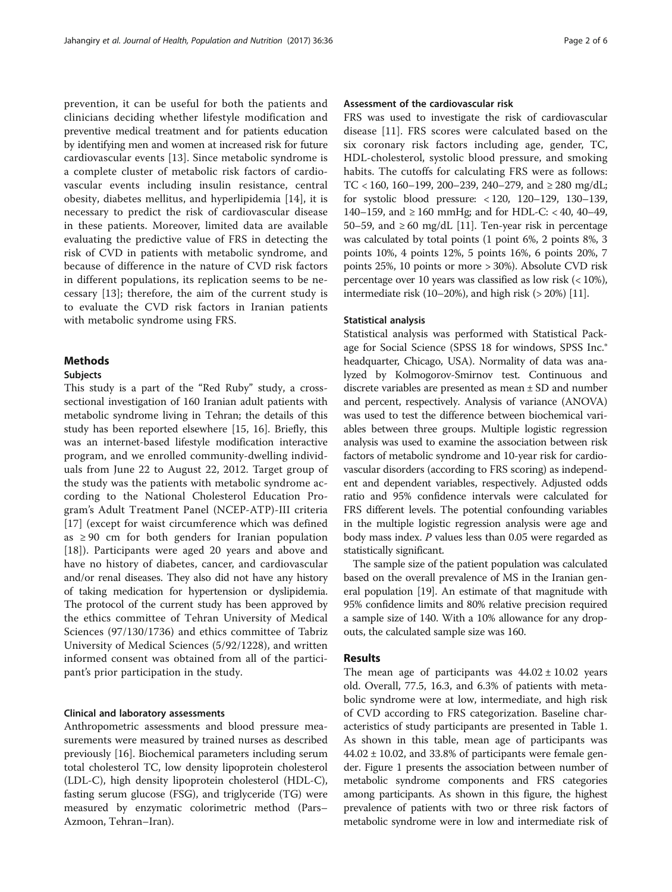prevention, it can be useful for both the patients and clinicians deciding whether lifestyle modification and preventive medical treatment and for patients education by identifying men and women at increased risk for future cardiovascular events [\[13](#page-4-0)]. Since metabolic syndrome is a complete cluster of metabolic risk factors of cardiovascular events including insulin resistance, central obesity, diabetes mellitus, and hyperlipidemia [[14\]](#page-4-0), it is necessary to predict the risk of cardiovascular disease in these patients. Moreover, limited data are available evaluating the predictive value of FRS in detecting the risk of CVD in patients with metabolic syndrome, and because of difference in the nature of CVD risk factors in different populations, its replication seems to be necessary [\[13](#page-4-0)]; therefore, the aim of the current study is to evaluate the CVD risk factors in Iranian patients with metabolic syndrome using FRS.

# **Methods**

# Subjects

This study is a part of the "Red Ruby" study, a crosssectional investigation of 160 Iranian adult patients with metabolic syndrome living in Tehran; the details of this study has been reported elsewhere [[15](#page-4-0), [16](#page-4-0)]. Briefly, this was an internet-based lifestyle modification interactive program, and we enrolled community-dwelling individuals from June 22 to August 22, 2012. Target group of the study was the patients with metabolic syndrome according to the National Cholesterol Education Program's Adult Treatment Panel (NCEP-ATP)-III criteria [[17\]](#page-4-0) (except for waist circumference which was defined as  $\geq$  90 cm for both genders for Iranian population [[18\]](#page-4-0)). Participants were aged 20 years and above and have no history of diabetes, cancer, and cardiovascular and/or renal diseases. They also did not have any history of taking medication for hypertension or dyslipidemia. The protocol of the current study has been approved by the ethics committee of Tehran University of Medical Sciences (97/130/1736) and ethics committee of Tabriz University of Medical Sciences (5/92/1228), and written informed consent was obtained from all of the participant's prior participation in the study.

# Clinical and laboratory assessments

Anthropometric assessments and blood pressure measurements were measured by trained nurses as described previously [[16](#page-4-0)]. Biochemical parameters including serum total cholesterol TC, low density lipoprotein cholesterol (LDL-C), high density lipoprotein cholesterol (HDL-C), fasting serum glucose (FSG), and triglyceride (TG) were measured by enzymatic colorimetric method (Pars– Azmoon, Tehran–Iran).

# Assessment of the cardiovascular risk

FRS was used to investigate the risk of cardiovascular disease [[11\]](#page-4-0). FRS scores were calculated based on the six coronary risk factors including age, gender, TC, HDL-cholesterol, systolic blood pressure, and smoking habits. The cutoffs for calculating FRS were as follows: TC < 160, 160-199, 200-239, 240-279, and  $\geq 280$  mg/dL; for systolic blood pressure: < 120, 120–129, 130–139, 140–159, and ≥ 160 mmHg; and for HDL-C: < 40, 40–49, 50–59, and ≥60 mg/dL [[11](#page-4-0)]. Ten-year risk in percentage was calculated by total points (1 point 6%, 2 points 8%, 3 points 10%, 4 points 12%, 5 points 16%, 6 points 20%, 7 points 25%, 10 points or more > 30%). Absolute CVD risk percentage over 10 years was classified as low risk (< 10%), intermediate risk  $(10-20\%)$ , and high risk  $(>20\%)$  [[11](#page-4-0)].

## Statistical analysis

Statistical analysis was performed with Statistical Package for Social Science (SPSS 18 for windows, SPSS Inc.® headquarter, Chicago, USA). Normality of data was analyzed by Kolmogorov-Smirnov test. Continuous and discrete variables are presented as mean ± SD and number and percent, respectively. Analysis of variance (ANOVA) was used to test the difference between biochemical variables between three groups. Multiple logistic regression analysis was used to examine the association between risk factors of metabolic syndrome and 10-year risk for cardiovascular disorders (according to FRS scoring) as independent and dependent variables, respectively. Adjusted odds ratio and 95% confidence intervals were calculated for FRS different levels. The potential confounding variables in the multiple logistic regression analysis were age and body mass index. P values less than 0.05 were regarded as statistically significant.

The sample size of the patient population was calculated based on the overall prevalence of MS in the Iranian general population [[19](#page-4-0)]. An estimate of that magnitude with 95% confidence limits and 80% relative precision required a sample size of 140. With a 10% allowance for any dropouts, the calculated sample size was 160.

# Results

The mean age of participants was  $44.02 \pm 10.02$  years old. Overall, 77.5, 16.3, and 6.3% of patients with metabolic syndrome were at low, intermediate, and high risk of CVD according to FRS categorization. Baseline characteristics of study participants are presented in Table [1](#page-2-0). As shown in this table, mean age of participants was  $44.02 \pm 10.02$ , and 33.8% of participants were female gender. Figure [1](#page-2-0) presents the association between number of metabolic syndrome components and FRS categories among participants. As shown in this figure, the highest prevalence of patients with two or three risk factors of metabolic syndrome were in low and intermediate risk of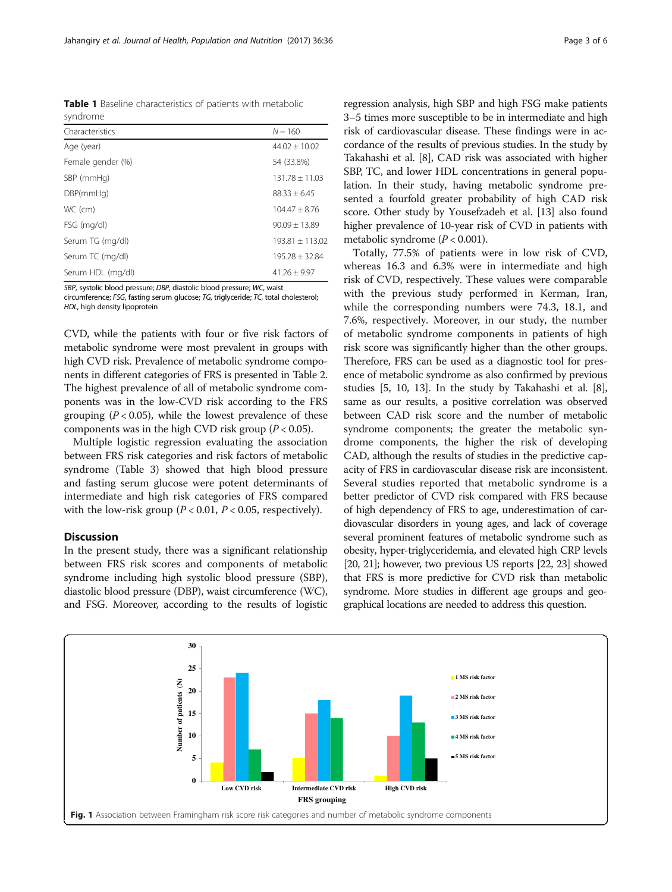<span id="page-2-0"></span>Table 1 Baseline characteristics of patients with metabolic syndrome

| Characteristics   | $N = 160$          |
|-------------------|--------------------|
| Age (year)        | $44.02 + 10.02$    |
| Female gender (%) | 54 (33.8%)         |
| SBP (mmHg)        | $131.78 \pm 11.03$ |
| DBP(mmHq)         | $88.33 + 6.45$     |
| WC (cm)           | $104.47 \pm 8.76$  |
| FSG (mg/dl)       | $90.09 + 13.89$    |
| Serum TG (mg/dl)  | $193.81 + 113.02$  |
| Serum TC (mg/dl)  | $195.28 + 32.84$   |
| Serum HDL (mg/dl) | $41.26 + 9.97$     |

SBP, systolic blood pressure; DBP, diastolic blood pressure; WC, waist

circumference; FSG, fasting serum glucose; TG, triglyceride; TC, total cholesterol; HDL, high density lipoprotein

CVD, while the patients with four or five risk factors of metabolic syndrome were most prevalent in groups with high CVD risk. Prevalence of metabolic syndrome components in different categories of FRS is presented in Table [2](#page-3-0). The highest prevalence of all of metabolic syndrome components was in the low-CVD risk according to the FRS grouping ( $P < 0.05$ ), while the lowest prevalence of these components was in the high CVD risk group ( $P < 0.05$ ).

Multiple logistic regression evaluating the association between FRS risk categories and risk factors of metabolic syndrome (Table [3](#page-3-0)) showed that high blood pressure and fasting serum glucose were potent determinants of intermediate and high risk categories of FRS compared with the low-risk group ( $P < 0.01$ ,  $P < 0.05$ , respectively).

# Discussion

In the present study, there was a significant relationship between FRS risk scores and components of metabolic syndrome including high systolic blood pressure (SBP), diastolic blood pressure (DBP), waist circumference (WC), and FSG. Moreover, according to the results of logistic regression analysis, high SBP and high FSG make patients 3–5 times more susceptible to be in intermediate and high risk of cardiovascular disease. These findings were in accordance of the results of previous studies. In the study by Takahashi et al. [\[8](#page-4-0)], CAD risk was associated with higher SBP, TC, and lower HDL concentrations in general population. In their study, having metabolic syndrome presented a fourfold greater probability of high CAD risk score. Other study by Yousefzadeh et al. [\[13\]](#page-4-0) also found higher prevalence of 10-year risk of CVD in patients with metabolic syndrome  $(P < 0.001)$ .

Totally, 77.5% of patients were in low risk of CVD, whereas 16.3 and 6.3% were in intermediate and high risk of CVD, respectively. These values were comparable with the previous study performed in Kerman, Iran, while the corresponding numbers were 74.3, 18.1, and 7.6%, respectively. Moreover, in our study, the number of metabolic syndrome components in patients of high risk score was significantly higher than the other groups. Therefore, FRS can be used as a diagnostic tool for presence of metabolic syndrome as also confirmed by previous studies [[5, 10, 13\]](#page-4-0). In the study by Takahashi et al. [[8](#page-4-0)], same as our results, a positive correlation was observed between CAD risk score and the number of metabolic syndrome components; the greater the metabolic syndrome components, the higher the risk of developing CAD, although the results of studies in the predictive capacity of FRS in cardiovascular disease risk are inconsistent. Several studies reported that metabolic syndrome is a better predictor of CVD risk compared with FRS because of high dependency of FRS to age, underestimation of cardiovascular disorders in young ages, and lack of coverage several prominent features of metabolic syndrome such as obesity, hyper-triglyceridemia, and elevated high CRP levels [[20](#page-4-0), [21\]](#page-4-0); however, two previous US reports [\[22](#page-4-0), [23\]](#page-4-0) showed that FRS is more predictive for CVD risk than metabolic syndrome. More studies in different age groups and geographical locations are needed to address this question.

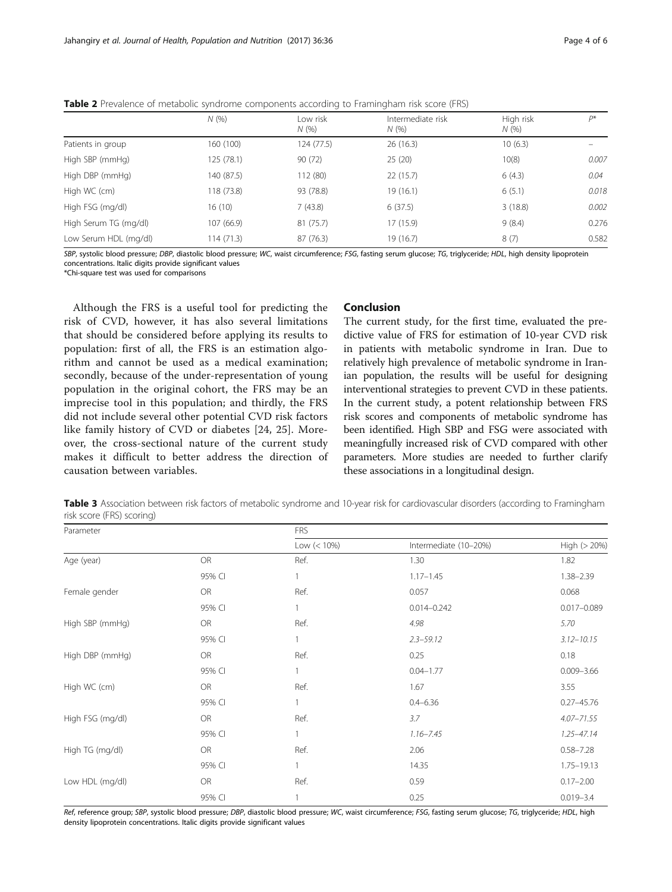|                       | N(%        | Low risk<br>N(% | Intermediate risk<br>N(% | High risk<br>N(% | D*    |
|-----------------------|------------|-----------------|--------------------------|------------------|-------|
| Patients in group     | 160 (100)  | 124(77.5)       | 26(16.3)                 | 10(6.3)          |       |
| High SBP (mmHg)       | 125 (78.1) | 90(72)          | 25(20)                   | 10(8)            | 0.007 |
| High DBP (mmHg)       | 140 (87.5) | 112 (80)        | 22(15.7)                 | 6(4.3)           | 0.04  |
| High WC (cm)          | 118 (73.8) | 93 (78.8)       | 19(16.1)                 | 6(5.1)           | 0.018 |
| High FSG (mg/dl)      | 16 (10)    | 7(43.8)         | 6(37.5)                  | 3(18.8)          | 0.002 |
| High Serum TG (mg/dl) | 107 (66.9) | 81 (75.7)       | 17 (15.9)                | 9(8.4)           | 0.276 |
| Low Serum HDL (mg/dl) | 114 (71.3) | 87 (76.3)       | 19 (16.7)                | 8(7)             | 0.582 |

<span id="page-3-0"></span>Table 2 Prevalence of metabolic syndrome components according to Framingham risk score (FRS)

SBP, systolic blood pressure; DBP, diastolic blood pressure; WC, waist circumference; FSG, fasting serum glucose; TG, triglyceride; HDL, high density lipoprotein concentrations. Italic digits provide significant values

\*Chi-square test was used for comparisons

Although the FRS is a useful tool for predicting the risk of CVD, however, it has also several limitations that should be considered before applying its results to population: first of all, the FRS is an estimation algorithm and cannot be used as a medical examination; secondly, because of the under-representation of young population in the original cohort, the FRS may be an imprecise tool in this population; and thirdly, the FRS did not include several other potential CVD risk factors like family history of CVD or diabetes [[24, 25\]](#page-5-0). Moreover, the cross-sectional nature of the current study makes it difficult to better address the direction of causation between variables.

# Conclusion

The current study, for the first time, evaluated the predictive value of FRS for estimation of 10-year CVD risk in patients with metabolic syndrome in Iran. Due to relatively high prevalence of metabolic syndrome in Iranian population, the results will be useful for designing interventional strategies to prevent CVD in these patients. In the current study, a potent relationship between FRS risk scores and components of metabolic syndrome has been identified. High SBP and FSG were associated with meaningfully increased risk of CVD compared with other parameters. More studies are needed to further clarify these associations in a longitudinal design.

Table 3 Association between risk factors of metabolic syndrome and 10-year risk for cardiovascular disorders (according to Framingham risk score (FRS) scoring)

| Parameter        |           | <b>FRS</b>   |                       |                 |  |
|------------------|-----------|--------------|-----------------------|-----------------|--|
|                  |           | Low (< 10%)  | Intermediate (10-20%) | High (> 20%)    |  |
| Age (year)       | <b>OR</b> | Ref.         | 1.30                  | 1.82            |  |
|                  | 95% CI    | 1            | $1.17 - 1.45$         | $1.38 - 2.39$   |  |
| Female gender    | OR        | Ref.         | 0.057                 | 0.068           |  |
|                  | 95% CI    | 1            | $0.014 - 0.242$       | $0.017 - 0.089$ |  |
| High SBP (mmHg)  | <b>OR</b> | Ref.         | 4.98                  | 5.70            |  |
|                  | 95% CI    | $\mathbf{1}$ | $2.3 - 59.12$         | $3.12 - 10.15$  |  |
| High DBP (mmHg)  | <b>OR</b> | Ref.         | 0.25                  | 0.18            |  |
|                  | 95% CI    | 1            | $0.04 - 1.77$         | $0.009 - 3.66$  |  |
| High WC (cm)     | <b>OR</b> | Ref.         | 1.67                  | 3.55            |  |
|                  | 95% CI    | 1            | $0.4 - 6.36$          | $0.27 - 45.76$  |  |
| High FSG (mg/dl) | <b>OR</b> | Ref.         | 3.7                   | $4.07 - 71.55$  |  |
|                  | 95% CI    | 1            | $1.16 - 7.45$         | $1.25 - 47.14$  |  |
| High TG (mg/dl)  | OR        | Ref.         | 2.06                  | $0.58 - 7.28$   |  |
|                  | 95% CI    | 1            | 14.35                 | $1.75 - 19.13$  |  |
| Low HDL (mg/dl)  | OR        | Ref.         | 0.59                  | $0.17 - 2.00$   |  |
|                  | 95% CI    |              | 0.25                  | $0.019 - 3.4$   |  |

Ref, reference group; SBP, systolic blood pressure; DBP, diastolic blood pressure; WC, waist circumference; FSG, fasting serum glucose; TG, triglyceride; HDL, high density lipoprotein concentrations. Italic digits provide significant values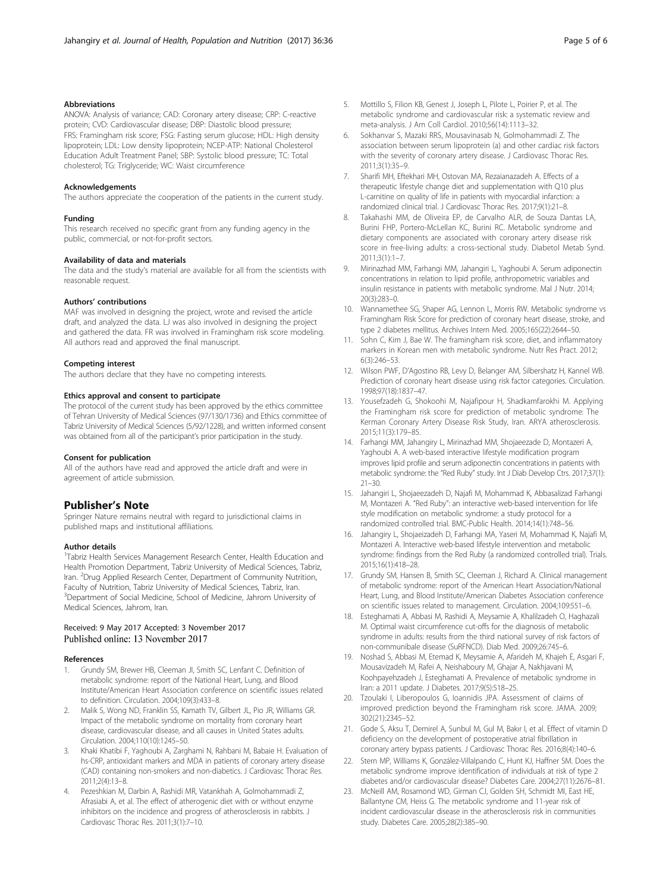# <span id="page-4-0"></span>Abbreviations

ANOVA: Analysis of variance; CAD: Coronary artery disease; CRP: C-reactive protein; CVD: Cardiovascular disease; DBP: Diastolic blood pressure; FRS: Framingham risk score; FSG: Fasting serum glucose; HDL: High density lipoprotein; LDL: Low density lipoprotein; NCEP-ATP: National Cholesterol Education Adult Treatment Panel; SBP: Systolic blood pressure; TC: Total cholesterol; TG: Triglyceride; WC: Waist circumference

#### Acknowledgements

The authors appreciate the cooperation of the patients in the current study.

#### Funding

This research received no specific grant from any funding agency in the public, commercial, or not-for-profit sectors.

#### Availability of data and materials

The data and the study's material are available for all from the scientists with reasonable request.

#### Authors' contributions

MAF was involved in designing the project, wrote and revised the article draft, and analyzed the data. LJ was also involved in designing the project and gathered the data. FR was involved in Framingham risk score modeling. All authors read and approved the final manuscript.

#### Competing interest

The authors declare that they have no competing interests.

#### Ethics approval and consent to participate

The protocol of the current study has been approved by the ethics committee of Tehran University of Medical Sciences (97/130/1736) and Ethics committee of Tabriz University of Medical Sciences (5/92/1228), and written informed consent was obtained from all of the participant's prior participation in the study.

#### Consent for publication

All of the authors have read and approved the article draft and were in agreement of article submission.

## Publisher's Note

Springer Nature remains neutral with regard to jurisdictional claims in published maps and institutional affiliations.

#### Author details

<sup>1</sup>Tabriz Health Services Management Research Center, Health Education and Health Promotion Department, Tabriz University of Medical Sciences, Tabriz, Iran. <sup>2</sup>Drug Applied Research Center, Department of Community Nutrition, Faculty of Nutrition, Tabriz University of Medical Sciences, Tabriz, Iran. <sup>3</sup>Department of Social Medicine, School of Medicine, Jahrom University of Medical Sciences, Jahrom, Iran.

## Received: 9 May 2017 Accepted: 3 November 2017 Published online: 13 November 2017

#### References

- 1. Grundy SM, Brewer HB, Cleeman JI, Smith SC, Lenfant C. Definition of metabolic syndrome: report of the National Heart, Lung, and Blood Institute/American Heart Association conference on scientific issues related to definition. Circulation. 2004;109(3):433–8.
- 2. Malik S, Wong ND, Franklin SS, Kamath TV, Gilbert JL, Pio JR, Williams GR. Impact of the metabolic syndrome on mortality from coronary heart disease, cardiovascular disease, and all causes in United States adults. Circulation. 2004;110(10):1245–50.
- 3. Khaki Khatibi F, Yaghoubi A, Zarghami N, Rahbani M, Babaie H. Evaluation of hs-CRP, antioxidant markers and MDA in patients of coronary artery disease (CAD) containing non-smokers and non-diabetics. J Cardiovasc Thorac Res. 2011;2(4):13–8.
- 4. Pezeshkian M, Darbin A, Rashidi MR, Vatankhah A, Golmohammadi Z, Afrasiabi A, et al. The effect of atherogenic diet with or without enzyme inhibitors on the incidence and progress of atherosclerosis in rabbits. J Cardiovasc Thorac Res. 2011;3(1):7–10.
- 5. Mottillo S, Filion KB, Genest J, Joseph L, Pilote L, Poirier P, et al. The metabolic syndrome and cardiovascular risk: a systematic review and meta-analysis. J Am Coll Cardiol. 2010;56(14):1113–32.
- 6. Sokhanvar S, Mazaki RRS, Mousavinasab N, Golmohammadi Z. The association between serum lipoprotein (a) and other cardiac risk factors with the severity of coronary artery disease. J Cardiovasc Thorac Res. 2011;3(1):35–9.
- 7. Sharifi MH, Eftekhari MH, Ostovan MA, Rezaianazadeh A. Effects of a therapeutic lifestyle change diet and supplementation with Q10 plus L-carnitine on quality of life in patients with myocardial infarction: a randomized clinical trial. J Cardiovasc Thorac Res. 2017;9(1):21–8.
- 8. Takahashi MM, de Oliveira EP, de Carvalho ALR, de Souza Dantas LA, Burini FHP, Portero-McLellan KC, Burini RC. Metabolic syndrome and dietary components are associated with coronary artery disease risk score in free-living adults: a cross-sectional study. Diabetol Metab Synd. 2011;3(1):1–7.
- 9. Mirinazhad MM, Farhangi MM, Jahangiri L, Yaghoubi A. Serum adiponectin concentrations in relation to lipid profile, anthropometric variables and insulin resistance in patients with metabolic syndrome. Mal J Nutr. 2014; 20(3):283–0.
- 10. Wannamethee SG, Shaper AG, Lennon L, Morris RW. Metabolic syndrome vs Framingham Risk Score for prediction of coronary heart disease, stroke, and type 2 diabetes mellitus. Archives Intern Med. 2005;165(22):2644–50.
- 11. Sohn C, Kim J, Bae W. The framingham risk score, diet, and inflammatory markers in Korean men with metabolic syndrome. Nutr Res Pract. 2012; 6(3):246–53.
- 12. Wilson PWF, D'Agostino RB, Levy D, Belanger AM, Silbershatz H, Kannel WB. Prediction of coronary heart disease using risk factor categories. Circulation. 1998;97(18):1837–47.
- 13. Yousefzadeh G, Shokoohi M, Najafipour H, Shadkamfarokhi M. Applying the Framingham risk score for prediction of metabolic syndrome: The Kerman Coronary Artery Disease Risk Study, Iran. ARYA atherosclerosis. 2015;11(3):179–85.
- 14. Farhangi MM, Jahangiry L, Mirinazhad MM, Shojaeezade D, Montazeri A, Yaghoubi A. A web-based interactive lifestyle modification program improves lipid profile and serum adiponectin concentrations in patients with metabolic syndrome: the "Red Ruby" study. Int J Diab Develop Ctrs. 2017;37(1): 21–30.
- 15. Jahangiri L, Shojaeezadeh D, Najafi M, Mohammad K, Abbasalizad Farhangi M, Montazeri A. "Red Ruby": an interactive web-based intervention for life style modification on metabolic syndrome: a study protocol for a randomized controlled trial. BMC-Public Health. 2014;14(1):748–56.
- 16. Jahangiry L, Shojaeizadeh D, Farhangi MA, Yaseri M, Mohammad K, Najafi M, Montazeri A. Interactive web-based lifestyle intervention and metabolic syndrome: findings from the Red Ruby (a randomized controlled trial). Trials. 2015;16(1):418–28.
- 17. Grundy SM, Hansen B, Smith SC, Cleeman J, Richard A. Clinical management of metabolic syndrome: report of the American Heart Association/National Heart, Lung, and Blood Institute/American Diabetes Association conference on scientific issues related to management. Circulation. 2004;109:551–6.
- 18. Esteghamati A, Abbasi M, Rashidi A, Meysamie A, Khalilzadeh O, Haghazali M. Optimal waist circumference cut-offs for the diagnosis of metabolic syndrome in adults: results from the third national survey of risk factors of non-communibale disease (SuRFNCD). Diab Med. 2009;26:745–6.
- 19. Noshad S, Abbasi M, Etemad K, Meysamie A, Afarideh M, Khajeh E, Asgari F, Mousavizadeh M, Rafei A, Neishaboury M, Ghajar A, Nakhjavani M, Koohpayehzadeh J, Esteghamati A. Prevalence of metabolic syndrome in Iran: a 2011 update. J Diabetes. 2017;9(5):518–25.
- 20. Tzoulaki I, Liberopoulos G, Ioannidis JPA. Assessment of claims of improved prediction beyond the Framingham risk score. JAMA. 2009; 302(21):2345–52.
- 21. Gode S, Aksu T, Demirel A, Sunbul M, Gul M, Bakır I, et al. Effect of vitamin D deficiency on the development of postoperative atrial fibrillation in coronary artery bypass patients. J Cardiovasc Thorac Res. 2016;8(4):140–6.
- 22. Stern MP, Williams K, González-Villalpando C, Hunt KJ, Haffner SM. Does the metabolic syndrome improve identification of individuals at risk of type 2 diabetes and/or cardiovascular disease? Diabetes Care. 2004;27(11):2676–81.
- 23. McNeill AM, Rosamond WD, Girman CJ, Golden SH, Schmidt MI, East HE, Ballantyne CM, Heiss G. The metabolic syndrome and 11-year risk of incident cardiovascular disease in the atherosclerosis risk in communities study. Diabetes Care. 2005;28(2):385–90.